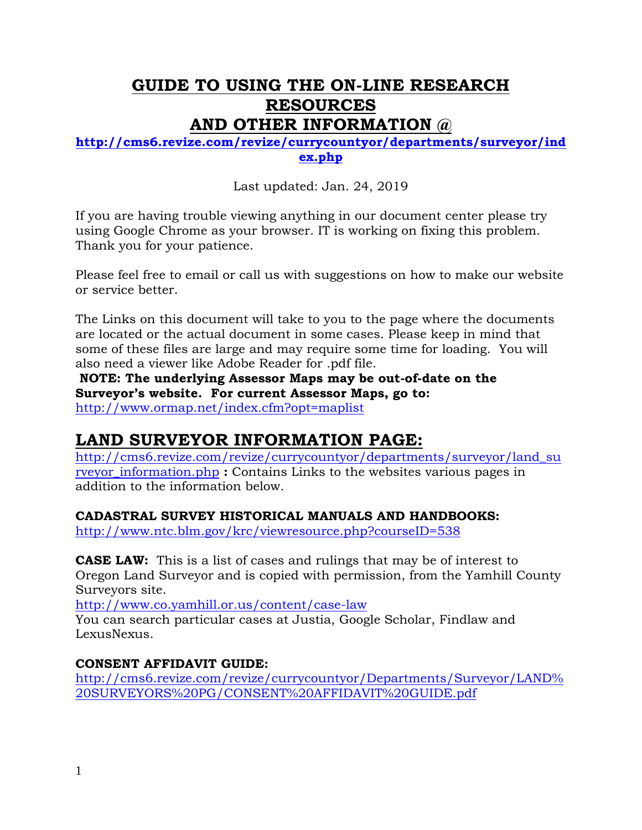# **GUIDE TO USING THE ON-LINE RESEARCH RESOURCES AND OTHER INFORMATION @**

#### **[http://cms6.revize.com/revize/currycountyor/departments/surveyor/ind](http://cms6.revize.com/revize/currycountyor/departments/surveyor/index.php) [ex.php](http://cms6.revize.com/revize/currycountyor/departments/surveyor/index.php)**

Last updated: Jan. 24, 2019

If you are having trouble viewing anything in our document center please try using Google Chrome as your browser. IT is working on fixing this problem. Thank you for your patience.

Please feel free to email or call us with suggestions on how to make our website or service better.

The Links on this document will take to you to the page where the documents are located or the actual document in some cases. Please keep in mind that some of these files are large and may require some time for loading. You will also need a viewer like Adobe Reader for .pdf file.

**NOTE: The underlying Assessor Maps may be out-of-date on the Surveyor's website. For current Assessor Maps, go to:**  <http://www.ormap.net/index.cfm?opt=maplist>

# **LAND SURVEYOR INFORMATION PAGE:**

[http://cms6.revize.com/revize/currycountyor/departments/surveyor/land\\_su](http://cms6.revize.com/revize/currycountyor/departments/surveyor/land_surveyor_information.php) [rveyor\\_information.php](http://cms6.revize.com/revize/currycountyor/departments/surveyor/land_surveyor_information.php) **:** Contains Links to the websites various pages in addition to the information below.

# **CADASTRAL SURVEY HISTORICAL MANUALS AND HANDBOOKS:**

<http://www.ntc.blm.gov/krc/viewresource.php?courseID=538>

**CASE LAW:** This is a list of cases and rulings that may be of interest to Oregon Land Surveyor and is copied with permission, from the Yamhill County Surveyors site.

<http://www.co.yamhill.or.us/content/case-law>

You can search particular cases at Justia, Google Scholar, Findlaw and LexusNexus.

# **CONSENT AFFIDAVIT GUIDE:**

[http://cms6.revize.com/revize/currycountyor/Departments/Surveyor/LAND%](http://cms6.revize.com/revize/currycountyor/Departments/Surveyor/LAND%20SURVEYORS%20PG/CONSENT%20AFFIDAVIT%20GUIDE.pdf) [20SURVEYORS%20PG/CONSENT%20AFFIDAVIT%20GUIDE.pdf](http://cms6.revize.com/revize/currycountyor/Departments/Surveyor/LAND%20SURVEYORS%20PG/CONSENT%20AFFIDAVIT%20GUIDE.pdf)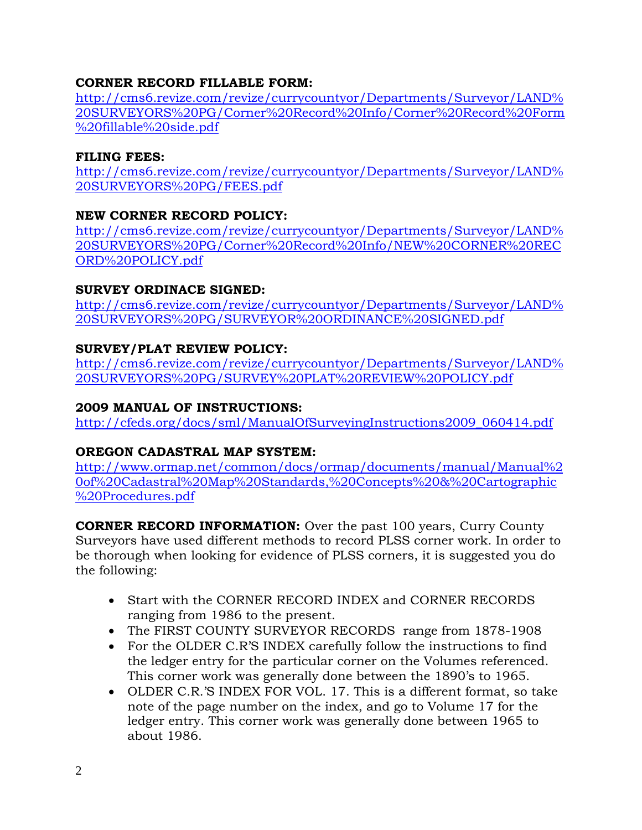#### **CORNER RECORD FILLABLE FORM:**

[http://cms6.revize.com/revize/currycountyor/Departments/Surveyor/LAND%](http://cms6.revize.com/revize/currycountyor/Departments/Surveyor/LAND%20SURVEYORS%20PG/Corner%20Record%20Info/Corner%20Record%20Form%20fillable%20side.pdf) [20SURVEYORS%20PG/Corner%20Record%20Info/Corner%20Record%20Form](http://cms6.revize.com/revize/currycountyor/Departments/Surveyor/LAND%20SURVEYORS%20PG/Corner%20Record%20Info/Corner%20Record%20Form%20fillable%20side.pdf) [%20fillable%20side.pdf](http://cms6.revize.com/revize/currycountyor/Departments/Surveyor/LAND%20SURVEYORS%20PG/Corner%20Record%20Info/Corner%20Record%20Form%20fillable%20side.pdf)

#### **FILING FEES:**

[http://cms6.revize.com/revize/currycountyor/Departments/Surveyor/LAND%](http://cms6.revize.com/revize/currycountyor/Departments/Surveyor/LAND%20SURVEYORS%20PG/FEES.pdf) [20SURVEYORS%20PG/FEES.pdf](http://cms6.revize.com/revize/currycountyor/Departments/Surveyor/LAND%20SURVEYORS%20PG/FEES.pdf)

#### **NEW CORNER RECORD POLICY:**

[http://cms6.revize.com/revize/currycountyor/Departments/Surveyor/LAND%](http://cms6.revize.com/revize/currycountyor/Departments/Surveyor/LAND%20SURVEYORS%20PG/Corner%20Record%20Info/NEW%20CORNER%20RECORD%20POLICY.pdf) [20SURVEYORS%20PG/Corner%20Record%20Info/NEW%20CORNER%20REC](http://cms6.revize.com/revize/currycountyor/Departments/Surveyor/LAND%20SURVEYORS%20PG/Corner%20Record%20Info/NEW%20CORNER%20RECORD%20POLICY.pdf) [ORD%20POLICY.pdf](http://cms6.revize.com/revize/currycountyor/Departments/Surveyor/LAND%20SURVEYORS%20PG/Corner%20Record%20Info/NEW%20CORNER%20RECORD%20POLICY.pdf)

#### **SURVEY ORDINACE SIGNED:**

[http://cms6.revize.com/revize/currycountyor/Departments/Surveyor/LAND%](http://cms6.revize.com/revize/currycountyor/Departments/Surveyor/LAND%20SURVEYORS%20PG/SURVEYOR%20ORDINANCE%20SIGNED.pdf) [20SURVEYORS%20PG/SURVEYOR%20ORDINANCE%20SIGNED.pdf](http://cms6.revize.com/revize/currycountyor/Departments/Surveyor/LAND%20SURVEYORS%20PG/SURVEYOR%20ORDINANCE%20SIGNED.pdf)

#### **SURVEY/PLAT REVIEW POLICY:**

[http://cms6.revize.com/revize/currycountyor/Departments/Surveyor/LAND%](http://cms6.revize.com/revize/currycountyor/Departments/Surveyor/LAND%20SURVEYORS%20PG/SURVEY%20PLAT%20REVIEW%20POLICY.pdf) [20SURVEYORS%20PG/SURVEY%20PLAT%20REVIEW%20POLICY.pdf](http://cms6.revize.com/revize/currycountyor/Departments/Surveyor/LAND%20SURVEYORS%20PG/SURVEY%20PLAT%20REVIEW%20POLICY.pdf)

#### **2009 MANUAL OF INSTRUCTIONS:**

http://cfeds.org/docs/sml/ManualOfSurveyingInstructions2009\_060414.pdf

#### **OREGON CADASTRAL MAP SYSTEM:**

[http://www.ormap.net/common/docs/ormap/documents/manual/Manual%2](http://www.ormap.net/common/docs/ormap/documents/manual/Manual%20of%20Cadastral%20Map%20Standards,%20Concepts%20&%20Cartographic%20Procedures.pdf) [0of%20Cadastral%20Map%20Standards,%20Concepts%20&%20Cartographic](http://www.ormap.net/common/docs/ormap/documents/manual/Manual%20of%20Cadastral%20Map%20Standards,%20Concepts%20&%20Cartographic%20Procedures.pdf) [%20Procedures.pdf](http://www.ormap.net/common/docs/ormap/documents/manual/Manual%20of%20Cadastral%20Map%20Standards,%20Concepts%20&%20Cartographic%20Procedures.pdf)

**CORNER RECORD INFORMATION:** Over the past 100 years, Curry County Surveyors have used different methods to record PLSS corner work. In order to be thorough when looking for evidence of PLSS corners, it is suggested you do the following:

- Start with the CORNER RECORD INDEX and CORNER RECORDS ranging from 1986 to the present.
- The FIRST COUNTY SURVEYOR RECORDS range from 1878-1908
- For the OLDER C.R'S INDEX carefully follow the instructions to find the ledger entry for the particular corner on the Volumes referenced. This corner work was generally done between the 1890's to 1965.
- OLDER C.R.'S INDEX FOR VOL. 17. This is a different format, so take note of the page number on the index, and go to Volume 17 for the ledger entry. This corner work was generally done between 1965 to about 1986.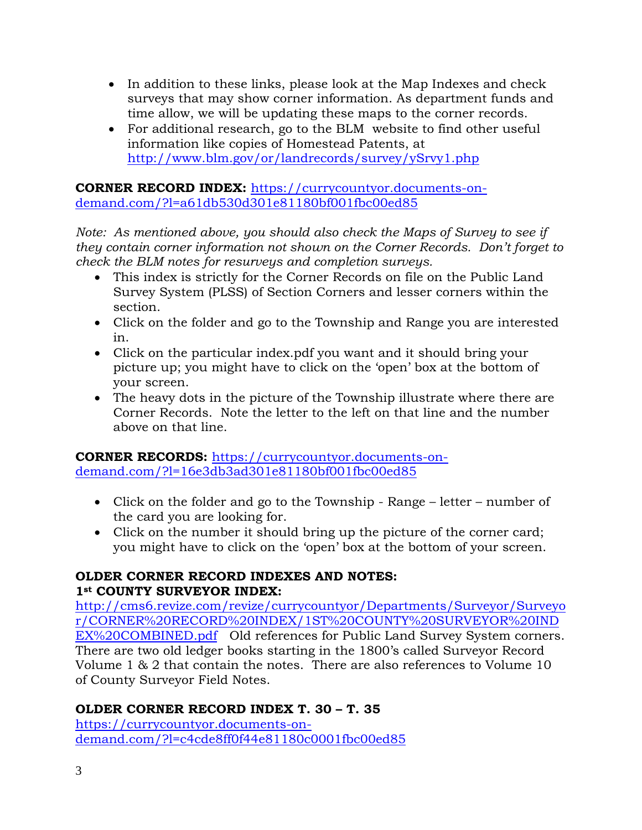- In addition to these links, please look at the Map Indexes and check surveys that may show corner information. As department funds and time allow, we will be updating these maps to the corner records.
- For additional research, go to the BLM website to find other useful information like copies of Homestead Patents, at <http://www.blm.gov/or/landrecords/survey/ySrvy1.php>

**CORNER RECORD INDEX:** [https://currycountyor.documents-on](https://currycountyor.documents-on-demand.com/?l=a61db530d301e81180bf001fbc00ed85)[demand.com/?l=a61db530d301e81180bf001fbc00ed85](https://currycountyor.documents-on-demand.com/?l=a61db530d301e81180bf001fbc00ed85)

*Note: As mentioned above, you should also check the Maps of Survey to see if they contain corner information not shown on the Corner Records. Don't forget to check the BLM notes for resurveys and completion surveys.*

- This index is strictly for the Corner Records on file on the Public Land Survey System (PLSS) of Section Corners and lesser corners within the section.
- Click on the folder and go to the Township and Range you are interested in.
- Click on the particular index.pdf you want and it should bring your picture up; you might have to click on the 'open' box at the bottom of your screen.
- The heavy dots in the picture of the Township illustrate where there are Corner Records. Note the letter to the left on that line and the number above on that line.

**CORNER RECORDS:** [https://currycountyor.documents-on](https://currycountyor.documents-on-demand.com/?l=16e3db3ad301e81180bf001fbc00ed85)[demand.com/?l=16e3db3ad301e81180bf001fbc00ed85](https://currycountyor.documents-on-demand.com/?l=16e3db3ad301e81180bf001fbc00ed85)

- Click on the folder and go to the Township Range letter number of the card you are looking for.
- Click on the number it should bring up the picture of the corner card; you might have to click on the 'open' box at the bottom of your screen.

#### **OLDER CORNER RECORD INDEXES AND NOTES: 1st COUNTY SURVEYOR INDEX:**

[http://cms6.revize.com/revize/currycountyor/Departments/Surveyor/Surveyo](http://cms6.revize.com/revize/currycountyor/Departments/Surveyor/Surveyor/CORNER%20RECORD%20INDEX/1ST%20COUNTY%20SURVEYOR%20INDEX%20COMBINED.pdf) [r/CORNER%20RECORD%20INDEX/1ST%20COUNTY%20SURVEYOR%20IND](http://cms6.revize.com/revize/currycountyor/Departments/Surveyor/Surveyor/CORNER%20RECORD%20INDEX/1ST%20COUNTY%20SURVEYOR%20INDEX%20COMBINED.pdf) [EX%20COMBINED.pdf](http://cms6.revize.com/revize/currycountyor/Departments/Surveyor/Surveyor/CORNER%20RECORD%20INDEX/1ST%20COUNTY%20SURVEYOR%20INDEX%20COMBINED.pdf) Old references for Public Land Survey System corners. There are two old ledger books starting in the 1800's called Surveyor Record Volume 1 & 2 that contain the notes. There are also references to Volume 10 of County Surveyor Field Notes.

# **OLDER CORNER RECORD INDEX T. 30 – T. 35**

[https://currycountyor.documents-on](https://currycountyor.documents-on-demand.com/?l=c4cde8ff0f44e81180c0001fbc00ed85)[demand.com/?l=c4cde8ff0f44e81180c0001fbc00ed85](https://currycountyor.documents-on-demand.com/?l=c4cde8ff0f44e81180c0001fbc00ed85)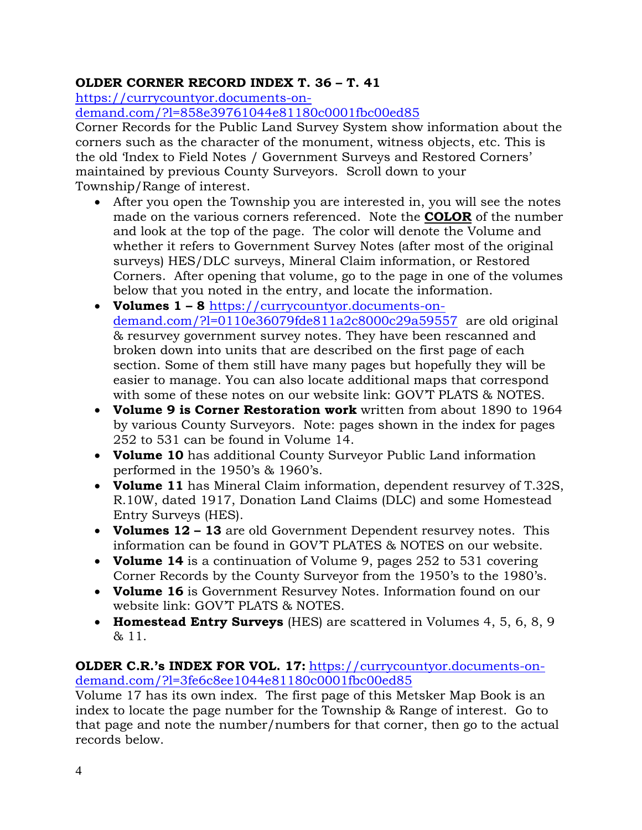# **OLDER CORNER RECORD INDEX T. 36 – T. 41**

[https://currycountyor.documents-on-](https://currycountyor.documents-on-demand.com/?l=858e39761044e81180c0001fbc00ed85)

[demand.com/?l=858e39761044e81180c0001fbc00ed85](https://currycountyor.documents-on-demand.com/?l=858e39761044e81180c0001fbc00ed85)

Corner Records for the Public Land Survey System show information about the corners such as the character of the monument, witness objects, etc. This is the old 'Index to Field Notes / Government Surveys and Restored Corners' maintained by previous County Surveyors. Scroll down to your Township/Range of interest.

- After you open the Township you are interested in, you will see the notes made on the various corners referenced. Note the **COLOR** of the number and look at the top of the page. The color will denote the Volume and whether it refers to Government Survey Notes (after most of the original surveys) HES/DLC surveys, Mineral Claim information, or Restored Corners. After opening that volume, go to the page in one of the volumes below that you noted in the entry, and locate the information.
- **Volumes 1 – 8** [https://currycountyor.documents-on](https://currycountyor.documents-on-demand.com/?l=0110e36079fde811a2c8000c29a59557)[demand.com/?l=0110e36079fde811a2c8000c29a59557](https://currycountyor.documents-on-demand.com/?l=0110e36079fde811a2c8000c29a59557) are old original & resurvey government survey notes. They have been rescanned and broken down into units that are described on the first page of each section. Some of them still have many pages but hopefully they will be easier to manage. You can also locate additional maps that correspond with some of these notes on our website link: GOVT PLATS & NOTES.
- **Volume 9 is Corner Restoration work** written from about 1890 to 1964 by various County Surveyors. Note: pages shown in the index for pages 252 to 531 can be found in Volume 14.
- **Volume 10** has additional County Surveyor Public Land information performed in the 1950's & 1960's.
- **Volume 11** has Mineral Claim information, dependent resurvey of T.32S, R.10W, dated 1917, Donation Land Claims (DLC) and some Homestead Entry Surveys (HES).
- **Volumes 12 – 13** are old Government Dependent resurvey notes. This information can be found in GOV'T PLATES & NOTES on our website.
- **Volume 14** is a continuation of Volume 9, pages 252 to 531 covering Corner Records by the County Surveyor from the 1950's to the 1980's.
- **Volume 16** is Government Resurvey Notes. Information found on our website link: GOV'T PLATS & NOTES.
- **Homestead Entry Surveys** (HES) are scattered in Volumes 4, 5, 6, 8, 9 & 11.

#### **OLDER C.R.'s INDEX FOR VOL. 17:** [https://currycountyor.documents-on](https://currycountyor.documents-on-demand.com/?l=3fe6c8ee1044e81180c0001fbc00ed85)[demand.com/?l=3fe6c8ee1044e81180c0001fbc00ed85](https://currycountyor.documents-on-demand.com/?l=3fe6c8ee1044e81180c0001fbc00ed85)

Volume 17 has its own index. The first page of this Metsker Map Book is an index to locate the page number for the Township & Range of interest. Go to that page and note the number/numbers for that corner, then go to the actual records below.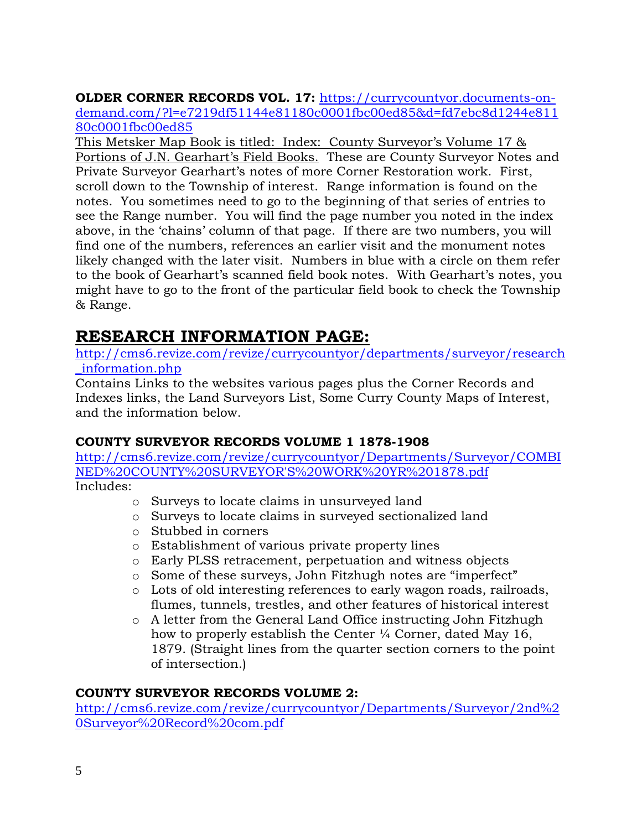**OLDER CORNER RECORDS VOL. 17:** [https://currycountyor.documents-on](https://currycountyor.documents-on-demand.com/?l=e7219df51144e81180c0001fbc00ed85&d=fd7ebc8d1244e81180c0001fbc00ed85)[demand.com/?l=e7219df51144e81180c0001fbc00ed85&d=fd7ebc8d1244e811](https://currycountyor.documents-on-demand.com/?l=e7219df51144e81180c0001fbc00ed85&d=fd7ebc8d1244e81180c0001fbc00ed85) [80c0001fbc00ed85](https://currycountyor.documents-on-demand.com/?l=e7219df51144e81180c0001fbc00ed85&d=fd7ebc8d1244e81180c0001fbc00ed85)

This Metsker Map Book is titled: Index: County Surveyor's Volume 17 & Portions of J.N. Gearhart's Field Books. These are County Surveyor Notes and Private Surveyor Gearhart's notes of more Corner Restoration work. First, scroll down to the Township of interest. Range information is found on the notes. You sometimes need to go to the beginning of that series of entries to see the Range number. You will find the page number you noted in the index above, in the 'chains' column of that page. If there are two numbers, you will find one of the numbers, references an earlier visit and the monument notes likely changed with the later visit. Numbers in blue with a circle on them refer to the book of Gearhart's scanned field book notes. With Gearhart's notes, you might have to go to the front of the particular field book to check the Township & Range.

# **RESEARCH INFORMATION PAGE:**

[http://cms6.revize.com/revize/currycountyor/departments/surveyor/research](http://cms6.revize.com/revize/currycountyor/departments/surveyor/research_information.php) [\\_information.php](http://cms6.revize.com/revize/currycountyor/departments/surveyor/research_information.php)

Contains Links to the websites various pages plus the Corner Records and Indexes links, the Land Surveyors List, Some Curry County Maps of Interest, and the information below.

# **COUNTY SURVEYOR RECORDS VOLUME 1 1878-1908**

[http://cms6.revize.com/revize/currycountyor/Departments/Surveyor/COMBI](http://cms6.revize.com/revize/currycountyor/Departments/Surveyor/COMBINED%20COUNTY%20SURVEYOR) [NED%20COUNTY%20SURVEYOR'S%20WORK%20YR%201878.pdf](http://cms6.revize.com/revize/currycountyor/Departments/Surveyor/COMBINED%20COUNTY%20SURVEYOR) Includes:

- o Surveys to locate claims in unsurveyed land
- o Surveys to locate claims in surveyed sectionalized land
- o Stubbed in corners
- o Establishment of various private property lines
- o Early PLSS retracement, perpetuation and witness objects
- o Some of these surveys, John Fitzhugh notes are "imperfect"
- o Lots of old interesting references to early wagon roads, railroads, flumes, tunnels, trestles, and other features of historical interest
- o A letter from the General Land Office instructing John Fitzhugh how to properly establish the Center ¼ Corner, dated May 16, 1879. (Straight lines from the quarter section corners to the point of intersection.)

#### **COUNTY SURVEYOR RECORDS VOLUME 2:**

[http://cms6.revize.com/revize/currycountyor/Departments/Surveyor/2nd%2](http://cms6.revize.com/revize/currycountyor/Departments/Surveyor/2nd%20Surveyor%20Record%20com.pdf) [0Surveyor%20Record%20com.pdf](http://cms6.revize.com/revize/currycountyor/Departments/Surveyor/2nd%20Surveyor%20Record%20com.pdf)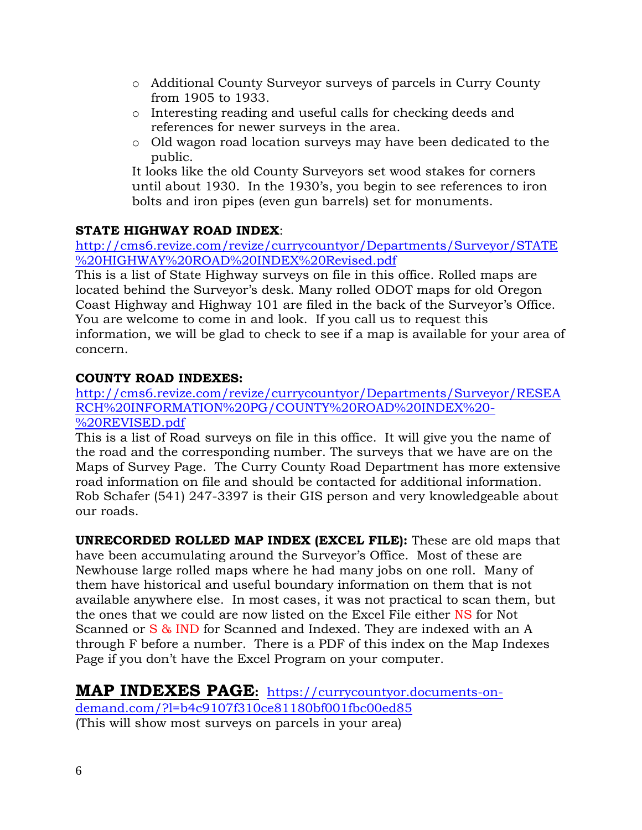- o Additional County Surveyor surveys of parcels in Curry County from 1905 to 1933.
- o Interesting reading and useful calls for checking deeds and references for newer surveys in the area.
- o Old wagon road location surveys may have been dedicated to the public.

It looks like the old County Surveyors set wood stakes for corners until about 1930. In the 1930's, you begin to see references to iron bolts and iron pipes (even gun barrels) set for monuments.

# **STATE HIGHWAY ROAD INDEX**:

[http://cms6.revize.com/revize/currycountyor/Departments/Surveyor/STATE](http://cms6.revize.com/revize/currycountyor/Departments/Surveyor/STATE%20HIGHWAY%20ROAD%20INDEX%20Revised.pdf) [%20HIGHWAY%20ROAD%20INDEX%20Revised.pdf](http://cms6.revize.com/revize/currycountyor/Departments/Surveyor/STATE%20HIGHWAY%20ROAD%20INDEX%20Revised.pdf)

This is a list of State Highway surveys on file in this office. Rolled maps are located behind the Surveyor's desk. Many rolled ODOT maps for old Oregon Coast Highway and Highway 101 are filed in the back of the Surveyor's Office. You are welcome to come in and look. If you call us to request this information, we will be glad to check to see if a map is available for your area of concern.

# **COUNTY ROAD INDEXES:**

[http://cms6.revize.com/revize/currycountyor/Departments/Surveyor/RESEA](http://cms6.revize.com/revize/currycountyor/Departments/Surveyor/RESEARCH%20INFORMATION%20PG/COUNTY%20ROAD%20INDEX%20-%20REVISED.pdf) [RCH%20INFORMATION%20PG/COUNTY%20ROAD%20INDEX%20-](http://cms6.revize.com/revize/currycountyor/Departments/Surveyor/RESEARCH%20INFORMATION%20PG/COUNTY%20ROAD%20INDEX%20-%20REVISED.pdf) [%20REVISED.pdf](http://cms6.revize.com/revize/currycountyor/Departments/Surveyor/RESEARCH%20INFORMATION%20PG/COUNTY%20ROAD%20INDEX%20-%20REVISED.pdf)

This is a list of Road surveys on file in this office. It will give you the name of the road and the corresponding number. The surveys that we have are on the Maps of Survey Page. The Curry County Road Department has more extensive road information on file and should be contacted for additional information. Rob Schafer (541) 247-3397 is their GIS person and very knowledgeable about our roads.

**UNRECORDED ROLLED MAP INDEX (EXCEL FILE):** These are old maps that have been accumulating around the Surveyor's Office. Most of these are Newhouse large rolled maps where he had many jobs on one roll. Many of them have historical and useful boundary information on them that is not available anywhere else. In most cases, it was not practical to scan them, but the ones that we could are now listed on the Excel File either NS for Not Scanned or S & IND for Scanned and Indexed. They are indexed with an A through F before a number. There is a PDF of this index on the Map Indexes Page if you don't have the Excel Program on your computer.

# **MAP INDEXES PAGE:** [https://currycountyor.documents-on-](https://currycountyor.documents-on-demand.com/?l=b4c9107f310ce81180bf001fbc00ed85)

[demand.com/?l=b4c9107f310ce81180bf001fbc00ed85](https://currycountyor.documents-on-demand.com/?l=b4c9107f310ce81180bf001fbc00ed85) (This will show most surveys on parcels in your area)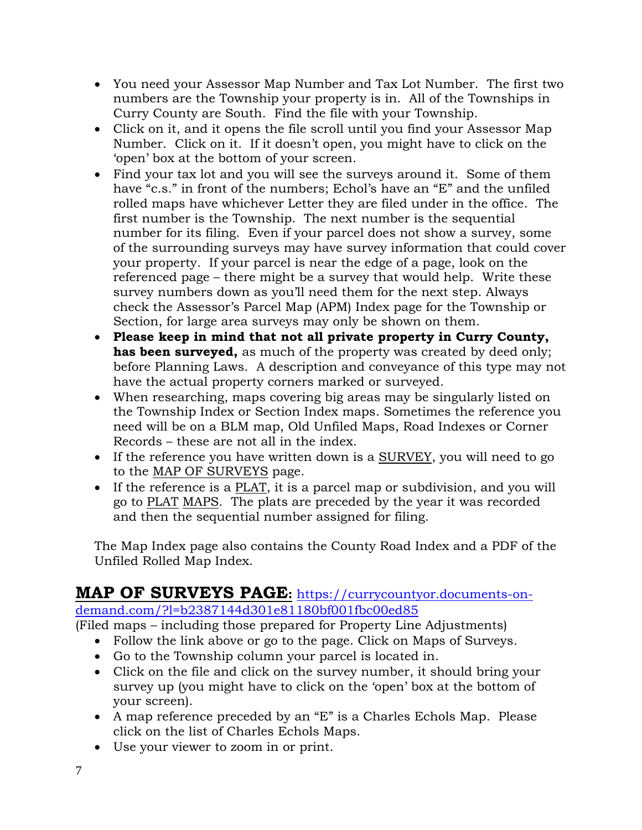- You need your Assessor Map Number and Tax Lot Number. The first two numbers are the Township your property is in. All of the Townships in Curry County are South. Find the file with your Township.
- Click on it, and it opens the file scroll until you find your Assessor Map Number. Click on it. If it doesn't open, you might have to click on the 'open' box at the bottom of your screen.
- Find your tax lot and you will see the surveys around it. Some of them have "c.s." in front of the numbers; Echol's have an "E" and the unfiled rolled maps have whichever Letter they are filed under in the office. The first number is the Township. The next number is the sequential number for its filing. Even if your parcel does not show a survey, some of the surrounding surveys may have survey information that could cover your property. If your parcel is near the edge of a page, look on the referenced page – there might be a survey that would help. Write these survey numbers down as you'll need them for the next step. Always check the Assessor's Parcel Map (APM) Index page for the Township or Section, for large area surveys may only be shown on them.
- **Please keep in mind that not all private property in Curry County, has been surveyed,** as much of the property was created by deed only; before Planning Laws. A description and conveyance of this type may not have the actual property corners marked or surveyed.
- When researching, maps covering big areas may be singularly listed on the Township Index or Section Index maps. Sometimes the reference you need will be on a BLM map, Old Unfiled Maps, Road Indexes or Corner Records – these are not all in the index.
- If the reference you have written down is a SURVEY, you will need to go to the MAP OF SURVEYS page.
- If the reference is a PLAT, it is a parcel map or subdivision, and you will go to PLAT MAPS. The plats are preceded by the year it was recorded and then the sequential number assigned for filing.

The Map Index page also contains the County Road Index and a PDF of the Unfiled Rolled Map Index.

# **MAP OF SURVEYS PAGE:** [https://currycountyor.documents-on](https://currycountyor.documents-on-demand.com/?l=b2387144d301e81180bf001fbc00ed85)[demand.com/?l=b2387144d301e81180bf001fbc00ed85](https://currycountyor.documents-on-demand.com/?l=b2387144d301e81180bf001fbc00ed85)

(Filed maps – including those prepared for Property Line Adjustments)

- Follow the link above or go to the page. Click on Maps of Surveys.
- Go to the Township column your parcel is located in.
- Click on the file and click on the survey number, it should bring your survey up (you might have to click on the 'open' box at the bottom of your screen).
- A map reference preceded by an "E" is a Charles Echols Map. Please click on the list of Charles Echols Maps.
- Use your viewer to zoom in or print.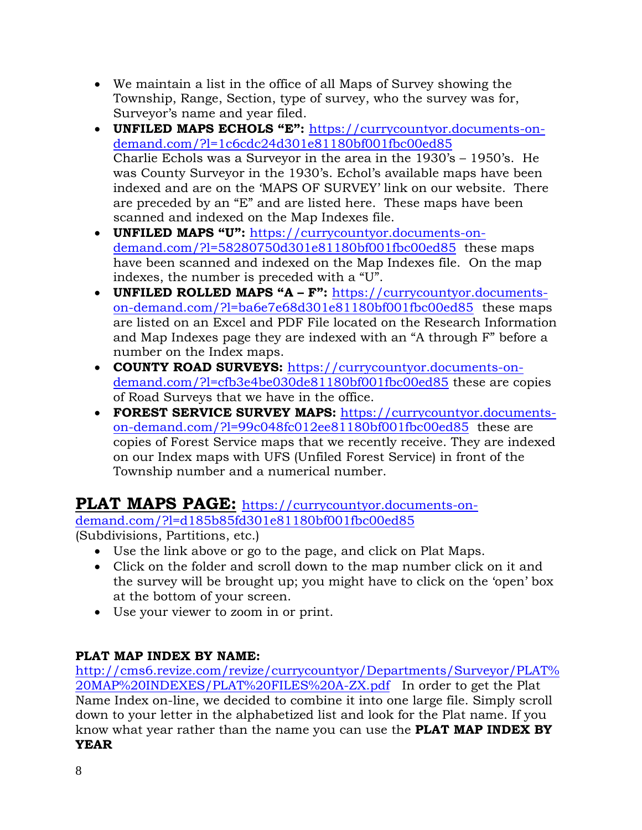- We maintain a list in the office of all Maps of Survey showing the Township, Range, Section, type of survey, who the survey was for, Surveyor's name and year filed.
- **UNFILED MAPS ECHOLS "E":** [https://currycountyor.documents-on](https://currycountyor.documents-on-demand.com/?l=1c6cdc24d301e81180bf001fbc00ed85)[demand.com/?l=1c6cdc24d301e81180bf001fbc00ed85](https://currycountyor.documents-on-demand.com/?l=1c6cdc24d301e81180bf001fbc00ed85) Charlie Echols was a Surveyor in the area in the 1930's – 1950's. He was County Surveyor in the 1930's. Echol's available maps have been indexed and are on the 'MAPS OF SURVEY' link on our website. There are preceded by an "E" and are listed here. These maps have been scanned and indexed on the Map Indexes file.
- **UNFILED MAPS "U":** [https://currycountyor.documents-on](https://currycountyor.documents-on-demand.com/?l=58280750d301e81180bf001fbc00ed85)[demand.com/?l=58280750d301e81180bf001fbc00ed85](https://currycountyor.documents-on-demand.com/?l=58280750d301e81180bf001fbc00ed85) these maps have been scanned and indexed on the Map Indexes file. On the map indexes, the number is preceded with a "U".
- **UNFILED ROLLED MAPS "A – F":** [https://currycountyor.documents](https://currycountyor.documents-on-demand.com/?l=ba6e7e68d301e81180bf001fbc00ed85)[on-demand.com/?l=ba6e7e68d301e81180bf001fbc00ed85](https://currycountyor.documents-on-demand.com/?l=ba6e7e68d301e81180bf001fbc00ed85)these maps are listed on an Excel and PDF File located on the Research Information and Map Indexes page they are indexed with an "A through F" before a number on the Index maps.
- **COUNTY ROAD SURVEYS:** [https://currycountyor.documents-on](https://currycountyor.documents-on-demand.com/?l=cfb3e4be030de81180bf001fbc00ed85)[demand.com/?l=cfb3e4be030de81180bf001fbc00ed85](https://currycountyor.documents-on-demand.com/?l=cfb3e4be030de81180bf001fbc00ed85) these are copies of Road Surveys that we have in the office.
- **FOREST SERVICE SURVEY MAPS:** [https://currycountyor.documents](https://currycountyor.documents-on-demand.com/?l=99c048fc012ee81180bf001fbc00ed85)[on-demand.com/?l=99c048fc012ee81180bf001fbc00ed85](https://currycountyor.documents-on-demand.com/?l=99c048fc012ee81180bf001fbc00ed85) these are copies of Forest Service maps that we recently receive. They are indexed on our Index maps with UFS (Unfiled Forest Service) in front of the Township number and a numerical number.

# **PLAT MAPS PAGE:** [https://currycountyor.documents-on-](https://currycountyor.documents-on-demand.com/?l=d185b85fd301e81180bf001fbc00ed85)

[demand.com/?l=d185b85fd301e81180bf001fbc00ed85](https://currycountyor.documents-on-demand.com/?l=d185b85fd301e81180bf001fbc00ed85)

(Subdivisions, Partitions, etc.)

- Use the link above or go to the page, and click on Plat Maps.
- Click on the folder and scroll down to the map number click on it and the survey will be brought up; you might have to click on the 'open' box at the bottom of your screen.
- Use your viewer to zoom in or print.

# **PLAT MAP INDEX BY NAME:**

[http://cms6.revize.com/revize/currycountyor/Departments/Surveyor/PLAT%](http://cms6.revize.com/revize/currycountyor/Departments/Surveyor/PLAT%20MAP%20INDEXES/PLAT%20FILES%20A-ZX.pdf) [20MAP%20INDEXES/PLAT%20FILES%20A-ZX.pdf](http://cms6.revize.com/revize/currycountyor/Departments/Surveyor/PLAT%20MAP%20INDEXES/PLAT%20FILES%20A-ZX.pdf) In order to get the Plat Name Index on-line, we decided to combine it into one large file. Simply scroll down to your letter in the alphabetized list and look for the Plat name. If you know what year rather than the name you can use the **PLAT MAP INDEX BY YEAR**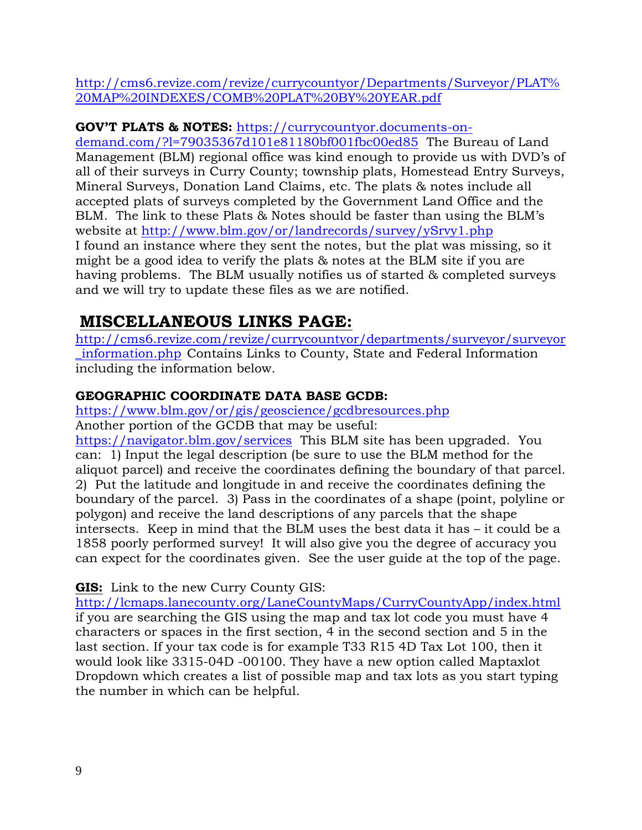[http://cms6.revize.com/revize/currycountyor/Departments/Surveyor/PLAT%](http://cms6.revize.com/revize/currycountyor/Departments/Surveyor/PLAT%20MAP%20INDEXES/COMB%20PLAT%20BY%20YEAR.pdf) [20MAP%20INDEXES/COMB%20PLAT%20BY%20YEAR.pdf](http://cms6.revize.com/revize/currycountyor/Departments/Surveyor/PLAT%20MAP%20INDEXES/COMB%20PLAT%20BY%20YEAR.pdf)

**GOV'T PLATS & NOTES:** [https://currycountyor.documents-on-](https://currycountyor.documents-on-demand.com/?l=79035367d101e81180bf001fbc00ed85)

[demand.com/?l=79035367d101e81180bf001fbc00ed85](https://currycountyor.documents-on-demand.com/?l=79035367d101e81180bf001fbc00ed85) The Bureau of Land Management (BLM) regional office was kind enough to provide us with DVD's of all of their surveys in Curry County; township plats, Homestead Entry Surveys, Mineral Surveys, Donation Land Claims, etc. The plats & notes include all accepted plats of surveys completed by the Government Land Office and the BLM. The link to these Plats & Notes should be faster than using the BLM's website at <http://www.blm.gov/or/landrecords/survey/ySrvy1.php> I found an instance where they sent the notes, but the plat was missing, so it might be a good idea to verify the plats & notes at the BLM site if you are having problems. The BLM usually notifies us of started & completed surveys and we will try to update these files as we are notified.

# **MISCELLANEOUS LINKS PAGE:**

[http://cms6.revize.com/revize/currycountyor/departments/surveyor/surveyor](http://cms6.revize.com/revize/currycountyor/departments/surveyor/surveyor_information.php) [\\_information.php](http://cms6.revize.com/revize/currycountyor/departments/surveyor/surveyor_information.php) Contains Links to County, State and Federal Information including the information below.

# **GEOGRAPHIC COORDINATE DATA BASE GCDB:**

<https://www.blm.gov/or/gis/geoscience/gcdbresources.php> Another portion of the GCDB that may be useful:

<https://navigator.blm.gov/services>This BLM site has been upgraded. You can: 1) Input the legal description (be sure to use the BLM method for the aliquot parcel) and receive the coordinates defining the boundary of that parcel. 2) Put the latitude and longitude in and receive the coordinates defining the boundary of the parcel. 3) Pass in the coordinates of a shape (point, polyline or polygon) and receive the land descriptions of any parcels that the shape intersects. Keep in mind that the BLM uses the best data it has – it could be a 1858 poorly performed survey! It will also give you the degree of accuracy you can expect for the coordinates given. See the user guide at the top of the page.

**GIS:** Link to the new Curry County GIS:

<http://lcmaps.lanecounty.org/LaneCountyMaps/CurryCountyApp/index.html> if you are searching the GIS using the map and tax lot code you must have 4 characters or spaces in the first section, 4 in the second section and 5 in the last section. If your tax code is for example T33 R15 4D Tax Lot 100, then it would look like 3315-04D -00100. They have a new option called Maptaxlot Dropdown which creates a list of possible map and tax lots as you start typing the number in which can be helpful.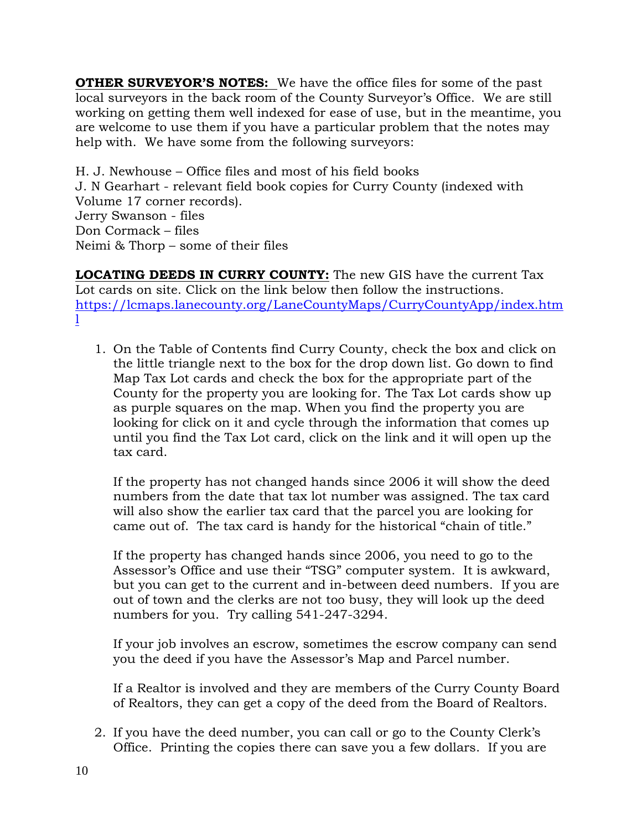**OTHER SURVEYOR'S NOTES:** We have the office files for some of the past local surveyors in the back room of the County Surveyor's Office. We are still working on getting them well indexed for ease of use, but in the meantime, you are welcome to use them if you have a particular problem that the notes may help with. We have some from the following surveyors:

H. J. Newhouse – Office files and most of his field books J. N Gearhart - relevant field book copies for Curry County (indexed with Volume 17 corner records). Jerry Swanson - files Don Cormack – files Neimi & Thorp – some of their files

**LOCATING DEEDS IN CURRY COUNTY:** The new GIS have the current Tax Lot cards on site. Click on the link below then follow the instructions. [https://lcmaps.lanecounty.org/LaneCountyMaps/CurryCountyApp/index.htm](https://lcmaps.lanecounty.org/LaneCountyMaps/CurryCountyApp/index.html) [l](https://lcmaps.lanecounty.org/LaneCountyMaps/CurryCountyApp/index.html)

1. On the Table of Contents find Curry County, check the box and click on the little triangle next to the box for the drop down list. Go down to find Map Tax Lot cards and check the box for the appropriate part of the County for the property you are looking for. The Tax Lot cards show up as purple squares on the map. When you find the property you are looking for click on it and cycle through the information that comes up until you find the Tax Lot card, click on the link and it will open up the tax card.

If the property has not changed hands since 2006 it will show the deed numbers from the date that tax lot number was assigned. The tax card will also show the earlier tax card that the parcel you are looking for came out of. The tax card is handy for the historical "chain of title."

If the property has changed hands since 2006, you need to go to the Assessor's Office and use their "TSG" computer system. It is awkward, but you can get to the current and in-between deed numbers. If you are out of town and the clerks are not too busy, they will look up the deed numbers for you. Try calling 541-247-3294.

If your job involves an escrow, sometimes the escrow company can send you the deed if you have the Assessor's Map and Parcel number.

If a Realtor is involved and they are members of the Curry County Board of Realtors, they can get a copy of the deed from the Board of Realtors.

2. If you have the deed number, you can call or go to the County Clerk's Office. Printing the copies there can save you a few dollars. If you are